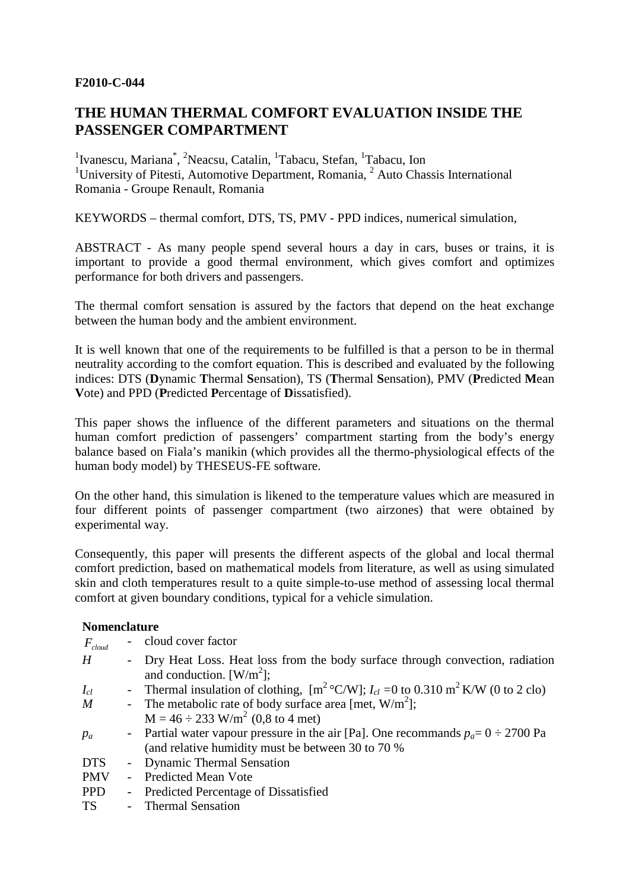#### **F2010-C-044**

# **THE HUMAN THERMAL COMFORT EVALUATION INSIDE THE PASSENGER COMPARTMENT**

<sup>1</sup> Ivanescu, Mariana<sup>\*</sup>, <sup>2</sup> Neacsu, Catalin, <sup>1</sup> Tabacu, Stefan, <sup>1</sup> Tabacu, Ion <sup>1</sup>University of Pitesti, Automotive Department, Romania,  $2$  Auto Chassis International Romania - Groupe Renault, Romania

KEYWORDS – thermal comfort, DTS, TS, PMV - PPD indices, numerical simulation,

ABSTRACT - As many people spend several hours a day in cars, buses or trains, it is important to provide a good thermal environment, which gives comfort and optimizes performance for both drivers and passengers.

The thermal comfort sensation is assured by the factors that depend on the heat exchange between the human body and the ambient environment.

It is well known that one of the requirements to be fulfilled is that a person to be in thermal neutrality according to the comfort equation. This is described and evaluated by the following indices: DTS (**D**ynamic **T**hermal **S**ensation), TS (**T**hermal **S**ensation), PMV (**P**redicted **M**ean **V**ote) and PPD (**P**redicted **P**ercentage of **D**issatisfied).

This paper shows the influence of the different parameters and situations on the thermal human comfort prediction of passengers' compartment starting from the body's energy balance based on Fiala's manikin (which provides all the thermo-physiological effects of the human body model) by THESEUS-FE software.

On the other hand, this simulation is likened to the temperature values which are measured in four different points of passenger compartment (two airzones) that were obtained by experimental way.

Consequently, this paper will presents the different aspects of the global and local thermal comfort prediction, based on mathematical models from literature, as well as using simulated skin and cloth temperatures result to a quite simple-to-use method of assessing local thermal comfort at given boundary conditions, typical for a vehicle simulation.

#### **Nomenclature**

| $F_{cloud}$ |        | cloud cover factor                                                                                                            |
|-------------|--------|-------------------------------------------------------------------------------------------------------------------------------|
| H           | $\sim$ | Dry Heat Loss. Heat loss from the body surface through convection, radiation<br>and conduction. $\left[\text{W/m}^2\right]$ ; |
| $I_{cl}$    |        | - Thermal insulation of clothing, $[m^2 C/W]$ ; $I_{cl} = 0$ to 0.310 m <sup>2</sup> K/W (0 to 2 clo)                         |
| M           |        | - The metabolic rate of body surface area [met, $W/m^2$ ];                                                                    |
|             |        | $M = 46 \div 233$ W/m <sup>2</sup> (0,8 to 4 met)                                                                             |
| $p_a$       |        | - Partial water vapour pressure in the air [Pa]. One recommands $p_a = 0 \div 2700$ Pa                                        |
|             |        | (and relative humidity must be between 30 to 70 %)                                                                            |
| <b>DTS</b>  |        | - Dynamic Thermal Sensation                                                                                                   |
| <b>PMV</b>  |        | - Predicted Mean Vote                                                                                                         |
| <b>PPD</b>  | $\sim$ | <b>Predicted Percentage of Dissatisfied</b>                                                                                   |
| <b>TS</b>   |        | - Thermal Sensation                                                                                                           |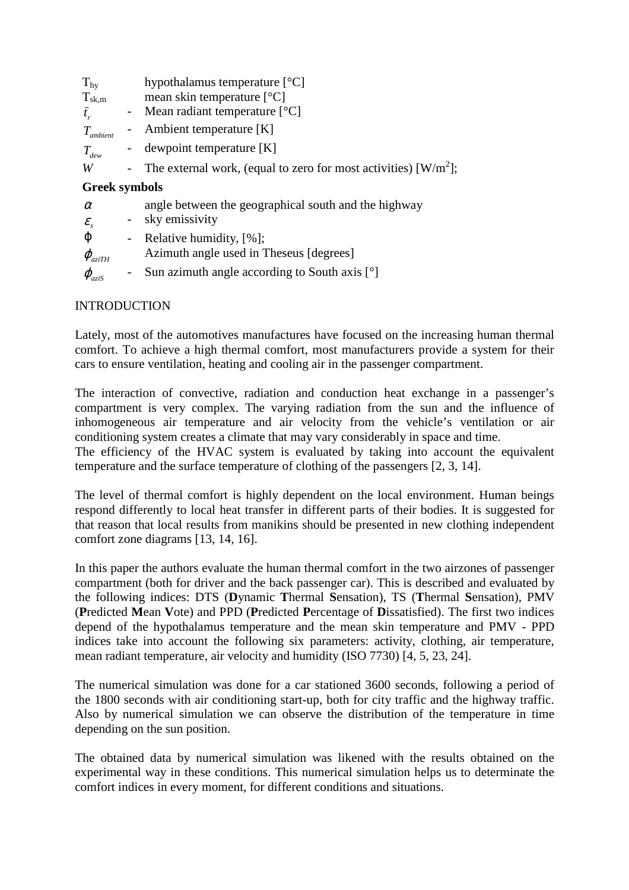| $T_{\rm hy}$                 |                          | hypothalamus temperature $[^{\circ}C]$                                         |  |  |  |  |
|------------------------------|--------------------------|--------------------------------------------------------------------------------|--|--|--|--|
| $T_{\rm sk,m}$               |                          | mean skin temperature $[°C]$                                                   |  |  |  |  |
| $t_{r}$                      | $\blacksquare$           | Mean radiant temperature $[°C]$                                                |  |  |  |  |
| $T_{\mathit{ambient}}$       |                          | Ambient temperature [K]                                                        |  |  |  |  |
| $T_{\scriptscriptstyle dew}$ | $\blacksquare$           | dewpoint temperature [K]                                                       |  |  |  |  |
| W                            | $\overline{\phantom{a}}$ | The external work, (equal to zero for most activities) $\lceil W/m^2 \rceil$ ; |  |  |  |  |
|                              |                          |                                                                                |  |  |  |  |
| <b>Greek symbols</b>         |                          |                                                                                |  |  |  |  |
| $\alpha$                     |                          | angle between the geographical south and the highway                           |  |  |  |  |
| $\mathcal{E}_{s}$            | $\overline{\phantom{a}}$ | sky emissivity                                                                 |  |  |  |  |
| φ                            | $\blacksquare$           | Relative humidity, $[%]$ ;                                                     |  |  |  |  |
| $\varphi_{aziTH}$            |                          | Azimuth angle used in Theseus [degrees]                                        |  |  |  |  |

## INTRODUCTION

Lately, most of the automotives manufactures have focused on the increasing human thermal comfort. To achieve a high thermal comfort, most manufacturers provide a system for their cars to ensure ventilation, heating and cooling air in the passenger compartment.

The interaction of convective, radiation and conduction heat exchange in a passenger's compartment is very complex. The varying radiation from the sun and the influence of inhomogeneous air temperature and air velocity from the vehicle's ventilation or air conditioning system creates a climate that may vary considerably in space and time.

The efficiency of the HVAC system is evaluated by taking into account the equivalent temperature and the surface temperature of clothing of the passengers [2, 3, 14].

The level of thermal comfort is highly dependent on the local environment. Human beings respond differently to local heat transfer in different parts of their bodies. It is suggested for that reason that local results from manikins should be presented in new clothing independent comfort zone diagrams [13, 14, 16].

In this paper the authors evaluate the human thermal comfort in the two airzones of passenger compartment (both for driver and the back passenger car). This is described and evaluated by the following indices: DTS (**D**ynamic **T**hermal **S**ensation), TS (**T**hermal **S**ensation), PMV (**P**redicted **M**ean **V**ote) and PPD (**P**redicted **P**ercentage of **D**issatisfied). The first two indices depend of the hypothalamus temperature and the mean skin temperature and PMV - PPD indices take into account the following six parameters: activity, clothing, air temperature, mean radiant temperature, air velocity and humidity (ISO 7730) [4, 5, 23, 24].

The numerical simulation was done for a car stationed 3600 seconds, following a period of the 1800 seconds with air conditioning start-up, both for city traffic and the highway traffic. Also by numerical simulation we can observe the distribution of the temperature in time depending on the sun position.

The obtained data by numerical simulation was likened with the results obtained on the experimental way in these conditions. This numerical simulation helps us to determinate the comfort indices in every moment, for different conditions and situations.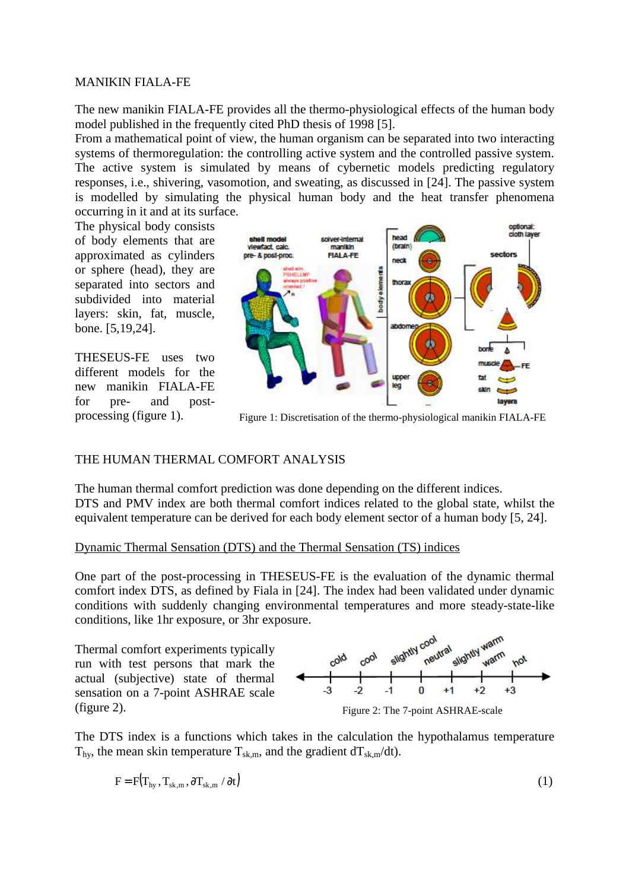The new manikin FIALA-FE provides all the thermo-physiological effects of the human body model published in the frequently cited PhD thesis of 1998 [5].

From a mathematical point of view, the human organism can be separated into two interacting systems of thermoregulation: the controlling active system and the controlled passive system. The active system is simulated by means of cybernetic models predicting regulatory responses, i.e., shivering, vasomotion, and sweating, as discussed in [24]. The passive system is modelled by simulating the physical human body and the heat transfer phenomena occurring in it and at its surface.

The physical body consists of body elements that are approximated as cylinders or sphere (head), they are separated into sectors and subdivided into material layers: skin, fat, muscle, bone. [5,19,24].

THESEUS-FE uses two different models for the new manikin FIALA-FE for pre- and postprocessing (figure 1).



Figure 1: Discretisation of the thermo-physiological manikin FIALA-FE

## THE HUMAN THERMAL COMFORT ANALYSIS

The human thermal comfort prediction was done depending on the different indices. DTS and PMV index are both thermal comfort indices related to the global state, whilst the equivalent temperature can be derived for each body element sector of a human body [5, 24].

#### Dynamic Thermal Sensation (DTS) and the Thermal Sensation (TS) indices

One part of the post-processing in THESEUS-FE is the evaluation of the dynamic thermal comfort index DTS, as defined by Fiala in [24]. The index had been validated under dynamic conditions with suddenly changing environmental temperatures and more steady-state-like conditions, like 1hr exposure, or 3hr exposure.

Thermal comfort experiments typically run with test persons that mark the actual (subjective) state of thermal sensation on a 7-point ASHRAE scale (figure 2).



Figure 2: The 7-point ASHRAE-scale

The DTS index is a functions which takes in the calculation the hypothalamus temperature  $T_{\text{hv}}$ , the mean skin temperature  $T_{\text{sk,m}}$ , and the gradient d $T_{\text{sk,m}}$ /dt).

$$
F = F(T_{hy}, T_{sk,m}, \partial T_{sk,m} / \partial t)
$$
 (1)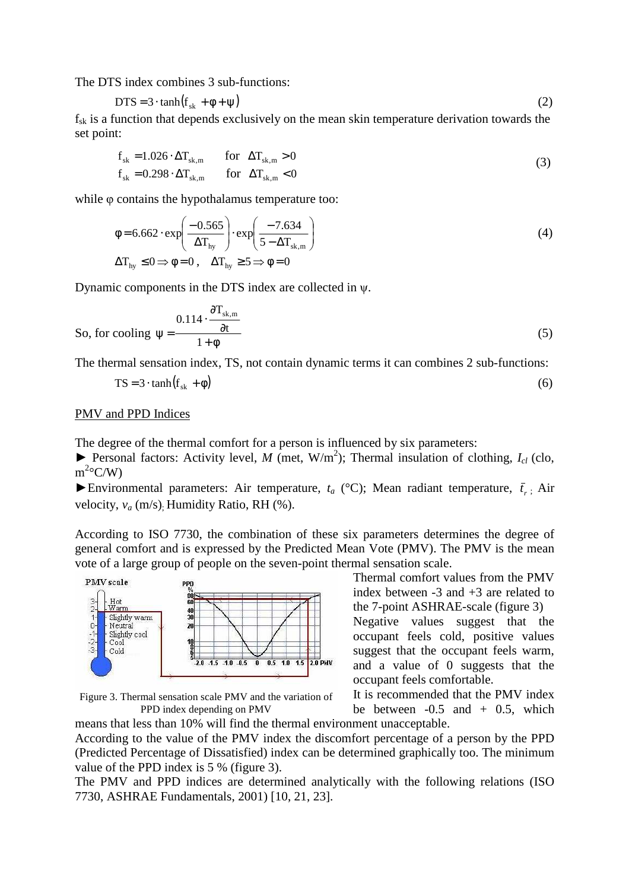The DTS index combines 3 sub-functions:

$$
DTS = 3 \cdot \tanh(f_{sk} + \phi + \psi) \tag{2}
$$

 $f_{sk}$  is a function that depends exclusively on the mean skin temperature derivation towards the set point:

$$
f_{sk} = 1.026 \cdot \Delta T_{sk,m} \qquad \text{for} \quad \Delta T_{sk,m} > 0
$$
  
\n
$$
f_{sk} = 0.298 \cdot \Delta T_{sk,m} \qquad \text{for} \quad \Delta T_{sk,m} < 0
$$
 (3)

while φ contains the hypothalamus temperature too:

$$
\phi = 6.662 \cdot \exp\left(\frac{-0.565}{\Delta T_{\text{hy}}}\right) \cdot \exp\left(\frac{-7.634}{5 - \Delta T_{\text{sk,m}}}\right)
$$
\n
$$
\Delta T_{\text{hy}} \le 0 \Rightarrow \phi = 0, \quad \Delta T_{\text{hy}} \ge 5 \Rightarrow \phi = 0
$$
\n(4)

Dynamic components in the DTS index are collected in ψ.

So, for cooling 
$$
\psi = \frac{0.114 \cdot \frac{\partial T_{\text{sk,m}}}{\partial t}}{1 + \phi}
$$
 (5)

The thermal sensation index, TS, not contain dynamic terms it can combines 2 sub-functions:

$$
TS = 3 \cdot \tanh(f_{sk} + \phi) \tag{6}
$$

#### PMV and PPD Indices

The degree of the thermal comfort for a person is influenced by six parameters:

▶ Personal factors: Activity level, *M* (met, W/m<sup>2</sup>); Thermal insulation of clothing, *I*<sub>*cl*</sub> (clo,  $m^2$ °C/W)

Environmental parameters: Air temperature,  $t_a$  (°C); Mean radiant temperature,  $\bar{t}_r$ ; Air velocity,  $v_a$  (m/s). Humidity Ratio, RH (%).

According to ISO 7730, the combination of these six parameters determines the degree of general comfort and is expressed by the Predicted Mean Vote (PMV). The PMV is the mean vote of a large group of people on the seven-point thermal sensation scale.



Figure 3. Thermal sensation scale PMV and the variation of PPD index depending on PMV

Thermal comfort values from the PMV index between  $-3$  and  $+3$  are related to the 7-point ASHRAE-scale (figure 3)

Negative values suggest that the occupant feels cold, positive values suggest that the occupant feels warm, and a value of 0 suggests that the occupant feels comfortable.

It is recommended that the PMV index be between  $-0.5$  and  $+0.5$ , which

means that less than 10% will find the thermal environment unacceptable. According to the value of the PMV index the discomfort percentage of a person by the PPD (Predicted Percentage of Dissatisfied) index can be determined graphically too. The minimum value of the PPD index is 5 % (figure 3).

The PMV and PPD indices are determined analytically with the following relations (ISO 7730, ASHRAE Fundamentals, 2001) [10, 21, 23].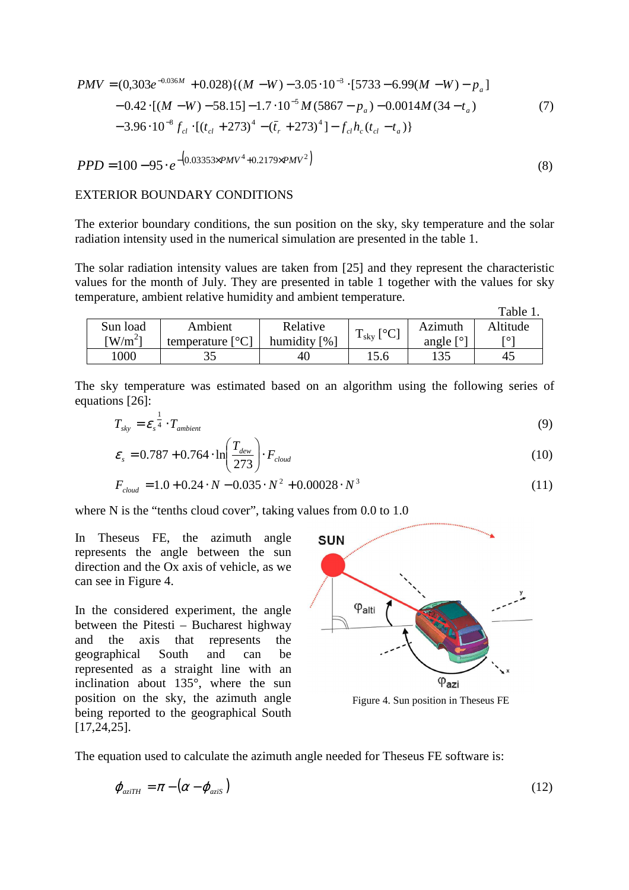$$
PMV = (0,303e^{-0.036M} + 0.028)\{(M - W) - 3.05 \cdot 10^{-3} \cdot [5733 - 6.99(M - W) - p_a] -0.42 \cdot [(M - W) - 58.15] - 1.7 \cdot 10^{-5} M (5867 - p_a) - 0.0014M (34 - t_a) -3.96 \cdot 10^{-8} f_{cl} \cdot [(t_{cl} + 273)^4 - (\bar{t}_r + 273)^4] - f_{cl} h_c (t_{cl} - t_a)\}
$$
(7)

$$
PPD = 100 - 95 \cdot e^{-\left(0.03353 \times PMV^4 + 0.2179 \times PMV^2\right)}
$$
\n(8)

#### EXTERIOR BOUNDARY CONDITIONS

The exterior boundary conditions, the sun position on the sky, sky temperature and the solar radiation intensity used in the numerical simulation are presented in the table 1.

The solar radiation intensity values are taken from [25] and they represent the characteristic values for the month of July. They are presented in table 1 together with the values for sky temperature, ambient relative humidity and ambient temperature.

|          |                           |              |                               |         | Table 1. |
|----------|---------------------------|--------------|-------------------------------|---------|----------|
| Sun load | Ambient                   | Relative     |                               | Azimuth | Altitude |
| $W/m^2$  | temperature $[^{\circ}C]$ | humidity [%] | $\mathbf{1}$ sky $\mathbf{1}$ | angle   | гот      |
| 1000     |                           | 40           | 15.6                          | 135     |          |

The sky temperature was estimated based on an algorithm using the following series of equations [26]:

$$
T_{sky} = \varepsilon_s^{\frac{1}{4}} \cdot T_{ambient} \tag{9}
$$

$$
\varepsilon_{s} = 0.787 + 0.764 \cdot \ln\left(\frac{T_{dew}}{273}\right) \cdot F_{cloud} \tag{10}
$$

$$
F_{cloud} = 1.0 + 0.24 \cdot N - 0.035 \cdot N^2 + 0.00028 \cdot N^3 \tag{11}
$$

where N is the "tenths cloud cover", taking values from 0.0 to 1.0

In Theseus FE, the azimuth angle represents the angle between the sun direction and the Ox axis of vehicle, as we can see in Figure 4.

In the considered experiment, the angle between the Pitesti – Bucharest highway and the axis that represents the geographical South and can be represented as a straight line with an inclination about 135°, where the sun position on the sky, the azimuth angle being reported to the geographical South [17,24,25].



Figure 4. Sun position in Theseus FE

The equation used to calculate the azimuth angle needed for Theseus FE software is:

$$
\varphi_{a\text{zi}TH} = \pi - (\alpha - \varphi_{a\text{zis}}) \tag{12}
$$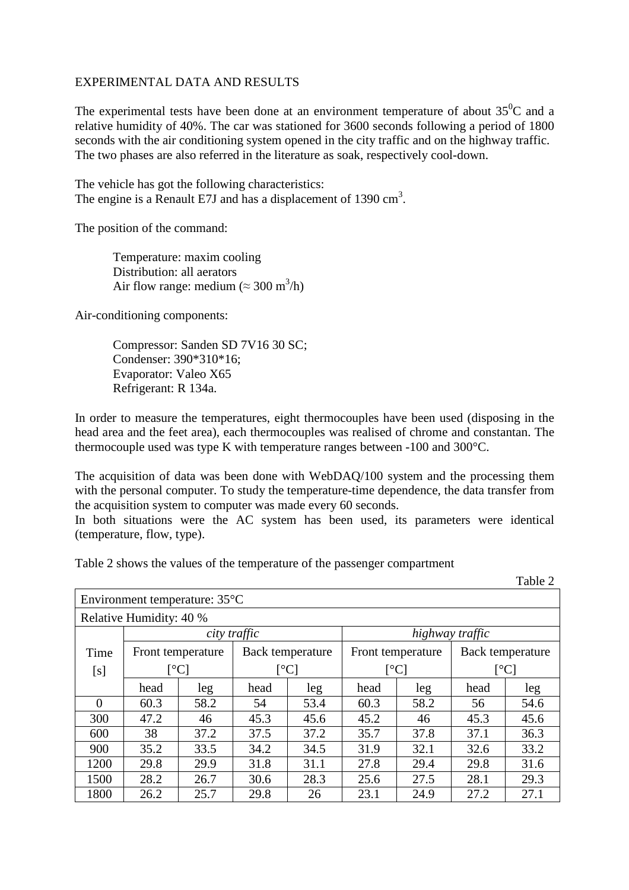#### EXPERIMENTAL DATA AND RESULTS

The experimental tests have been done at an environment temperature of about  $35^0C$  and a relative humidity of 40%. The car was stationed for 3600 seconds following a period of 1800 seconds with the air conditioning system opened in the city traffic and on the highway traffic. The two phases are also referred in the literature as soak, respectively cool-down.

The vehicle has got the following characteristics: The engine is a Renault E7J and has a displacement of  $1390 \text{ cm}^3$ .

The position of the command:

Temperature: maxim cooling Distribution: all aerators Air flow range: medium ( $\approx 300 \text{ m}^3/\text{h}$ )

Air-conditioning components:

Compressor: Sanden SD 7V16 30 SC; Condenser: 390\*310\*16; Evaporator: Valeo X65 Refrigerant: R 134a.

In order to measure the temperatures, eight thermocouples have been used (disposing in the head area and the feet area), each thermocouples was realised of chrome and constantan. The thermocouple used was type K with temperature ranges between -100 and 300°C.

The acquisition of data was been done with WebDAQ/100 system and the processing them with the personal computer. To study the temperature-time dependence, the data transfer from the acquisition system to computer was made every 60 seconds.

In both situations were the AC system has been used, its parameters were identical (temperature, flow, type).

Table 2 shows the values of the temperature of the passenger compartment

Table 2

| Environment temperature: $35^{\circ}$ C |                                                        |      |              |                  |                                |      |                  |      |
|-----------------------------------------|--------------------------------------------------------|------|--------------|------------------|--------------------------------|------|------------------|------|
| Relative Humidity: 40 %                 |                                                        |      |              |                  |                                |      |                  |      |
|                                         | city traffic                                           |      |              |                  | highway traffic                |      |                  |      |
| Time                                    | Front temperature                                      |      |              | Back temperature | Front temperature              |      | Back temperature |      |
| [s]                                     | $\lceil{^{\circ}C}\rceil$<br>$\lceil{^{\circ}C}\rceil$ |      | $\lceil$ °C] |                  | $\lceil{^\circ}\text{C}\rceil$ |      |                  |      |
|                                         | head                                                   | leg  | head         | leg              | head                           | leg  | head             | leg  |
| $\Omega$                                | 60.3                                                   | 58.2 | 54           | 53.4             | 60.3                           | 58.2 | 56               | 54.6 |
| 300                                     | 47.2                                                   | 46   | 45.3         | 45.6             | 45.2                           | 46   | 45.3             | 45.6 |
| 600                                     | 38                                                     | 37.2 | 37.5         | 37.2             | 35.7                           | 37.8 | 37.1             | 36.3 |
| 900                                     | 35.2                                                   | 33.5 | 34.2         | 34.5             | 31.9                           | 32.1 | 32.6             | 33.2 |
| 1200                                    | 29.8                                                   | 29.9 | 31.8         | 31.1             | 27.8                           | 29.4 | 29.8             | 31.6 |
| 1500                                    | 28.2                                                   | 26.7 | 30.6         | 28.3             | 25.6                           | 27.5 | 28.1             | 29.3 |
| 1800                                    | 26.2                                                   | 25.7 | 29.8         | 26               | 23.1                           | 24.9 | 27.2             | 27.1 |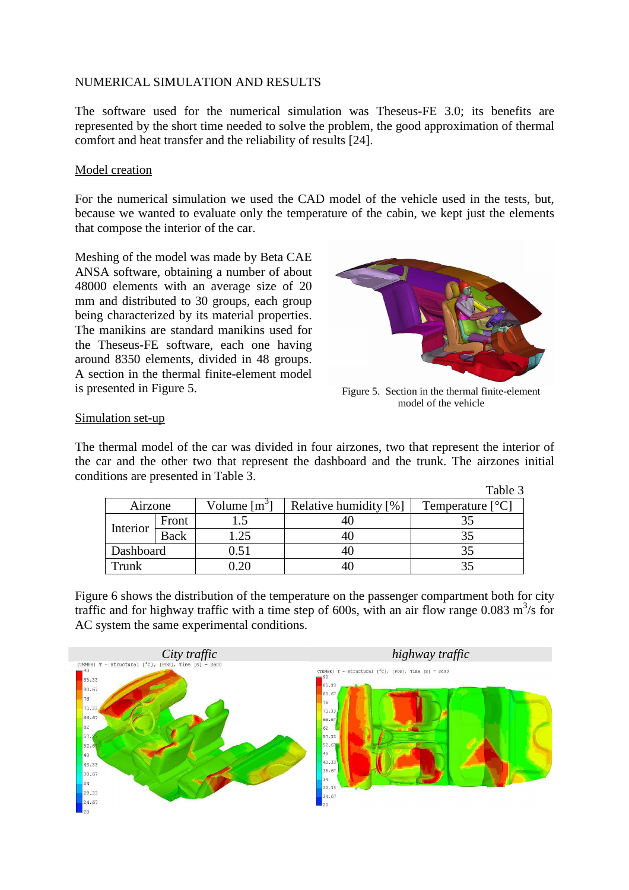#### NUMERICAL SIMULATION AND RESULTS

The software used for the numerical simulation was Theseus-FE 3.0; its benefits are represented by the short time needed to solve the problem, the good approximation of thermal comfort and heat transfer and the reliability of results [24].

#### Model creation

For the numerical simulation we used the CAD model of the vehicle used in the tests, but, because we wanted to evaluate only the temperature of the cabin, we kept just the elements that compose the interior of the car.

Meshing of the model was made by Beta CAE ANSA software, obtaining a number of about 48000 elements with an average size of 20 mm and distributed to 30 groups, each group being characterized by its material properties. The manikins are standard manikins used for the Theseus-FE software, each one having around 8350 elements, divided in 48 groups. A section in the thermal finite-element model is presented in Figure 5.



Figure 5. Section in the thermal finite-element model of the vehicle

#### Simulation set-up

The thermal model of the car was divided in four airzones, two that represent the interior of the car and the other two that represent the dashboard and the trunk. The airzones initial conditions are presented in Table 3.

|           |             |                |                       | Table 3                   |  |
|-----------|-------------|----------------|-----------------------|---------------------------|--|
| Airzone   |             | Volume $[m^3]$ | Relative humidity [%] | Temperature $[^{\circ}C]$ |  |
| Interior  | Front       |                |                       |                           |  |
|           | <b>Back</b> | .25            |                       |                           |  |
| Dashboard |             | $\rm 0.51$     |                       |                           |  |
| Trunk     |             | ാറ             |                       |                           |  |

Figure 6 shows the distribution of the temperature on the passenger compartment both for city traffic and for highway traffic with a time step of 600s, with an air flow range 0.083  $m^3/s$  for AC system the same experimental conditions.

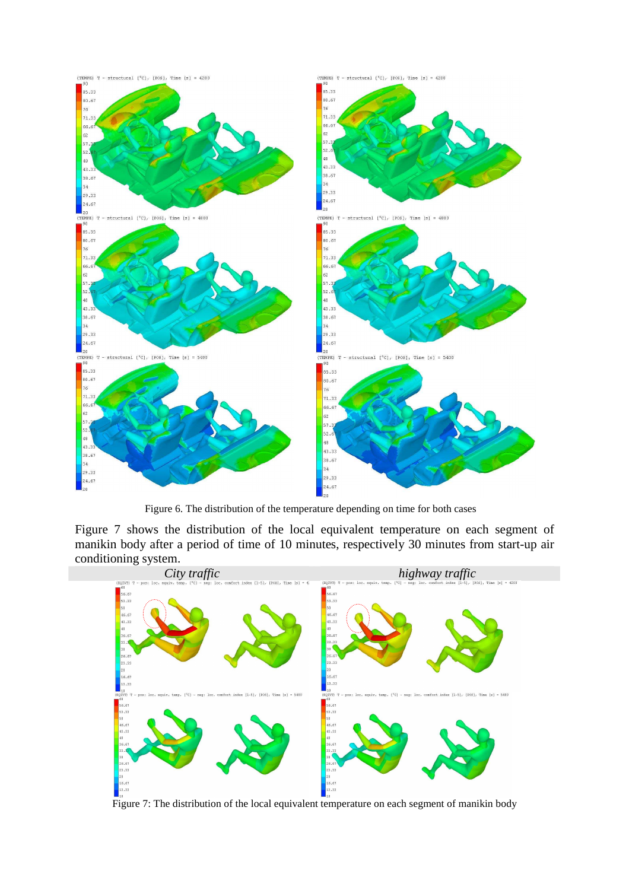

Figure 6. The distribution of the temperature depending on time for both cases

Figure 7 shows the distribution of the local equivalent temperature on each segment of manikin body after a period of time of 10 minutes, respectively 30 minutes from start-up air conditioning system.



Figure 7: The distribution of the local equivalent temperature on each segment of manikin body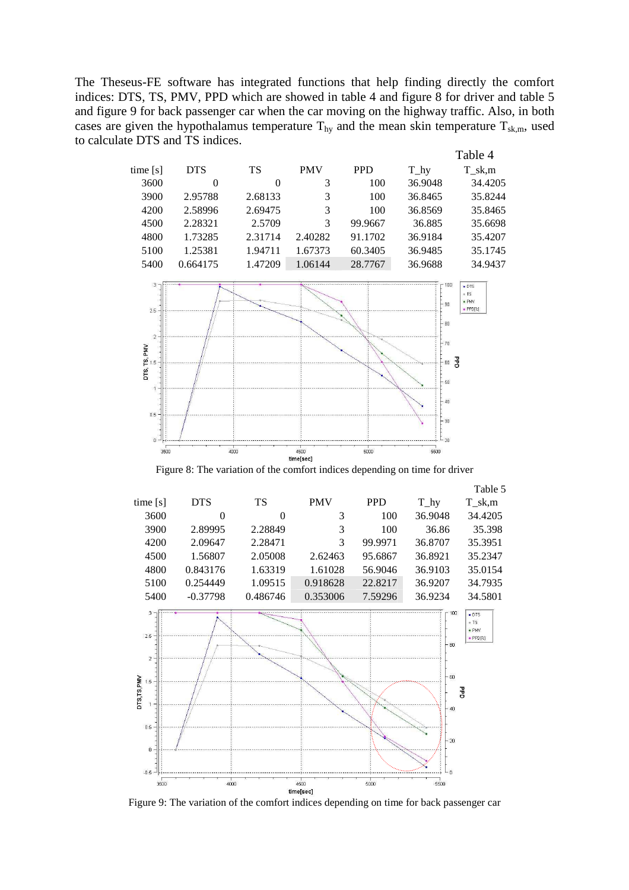The Theseus-FE software has integrated functions that help finding directly the comfort indices: DTS, TS, PMV, PPD which are showed in table 4 and figure 8 for driver and table 5 and figure 9 for back passenger car when the car moving on the highway traffic. Also, in both cases are given the hypothalamus temperature  $T_{hy}$  and the mean skin temperature  $T_{sk,m}$ , used to calculate DTS and TS indices.



Figure 8: The variation of the comfort indices depending on time for driver



Figure 9: The variation of the comfort indices depending on time for back passenger car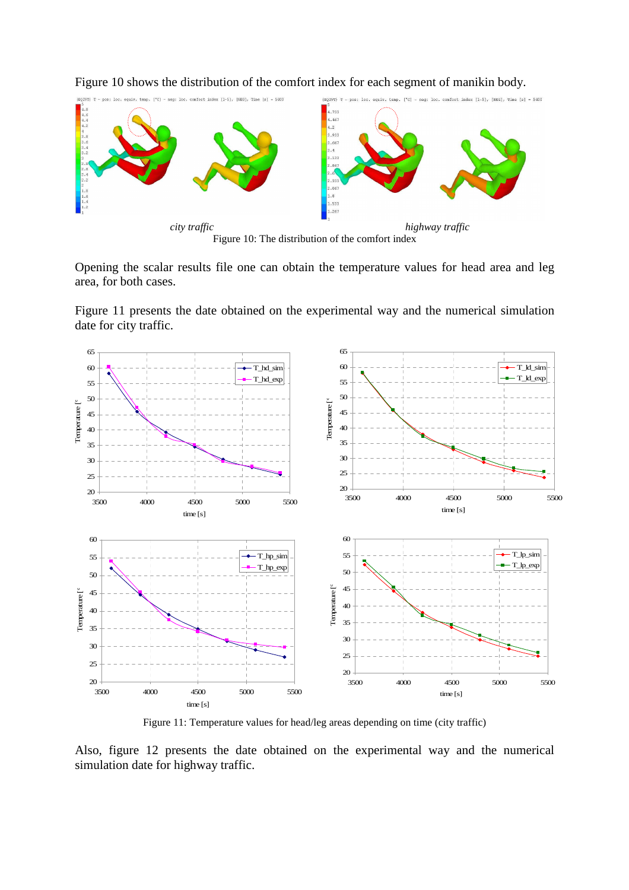

Figure 10 shows the distribution of the comfort index for each segment of manikin body.



Figure 11 presents the date obtained on the experimental way and the numerical simulation date for city traffic.



Figure 11: Temperature values for head/leg areas depending on time (city traffic)

Also, figure 12 presents the date obtained on the experimental way and the numerical simulation date for highway traffic.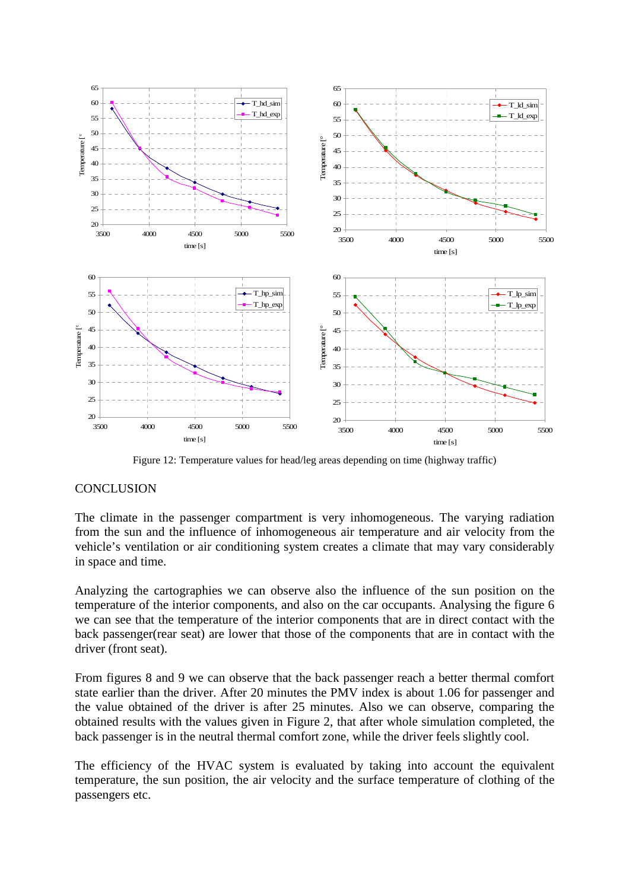

Figure 12: Temperature values for head/leg areas depending on time (highway traffic)

## **CONCLUSION**

The climate in the passenger compartment is very inhomogeneous. The varying radiation from the sun and the influence of inhomogeneous air temperature and air velocity from the vehicle's ventilation or air conditioning system creates a climate that may vary considerably in space and time.

Analyzing the cartographies we can observe also the influence of the sun position on the temperature of the interior components, and also on the car occupants. Analysing the figure 6 we can see that the temperature of the interior components that are in direct contact with the back passenger(rear seat) are lower that those of the components that are in contact with the driver (front seat).

From figures 8 and 9 we can observe that the back passenger reach a better thermal comfort state earlier than the driver. After 20 minutes the PMV index is about 1.06 for passenger and the value obtained of the driver is after 25 minutes. Also we can observe, comparing the obtained results with the values given in Figure 2, that after whole simulation completed, the back passenger is in the neutral thermal comfort zone, while the driver feels slightly cool.

The efficiency of the HVAC system is evaluated by taking into account the equivalent temperature, the sun position, the air velocity and the surface temperature of clothing of the passengers etc.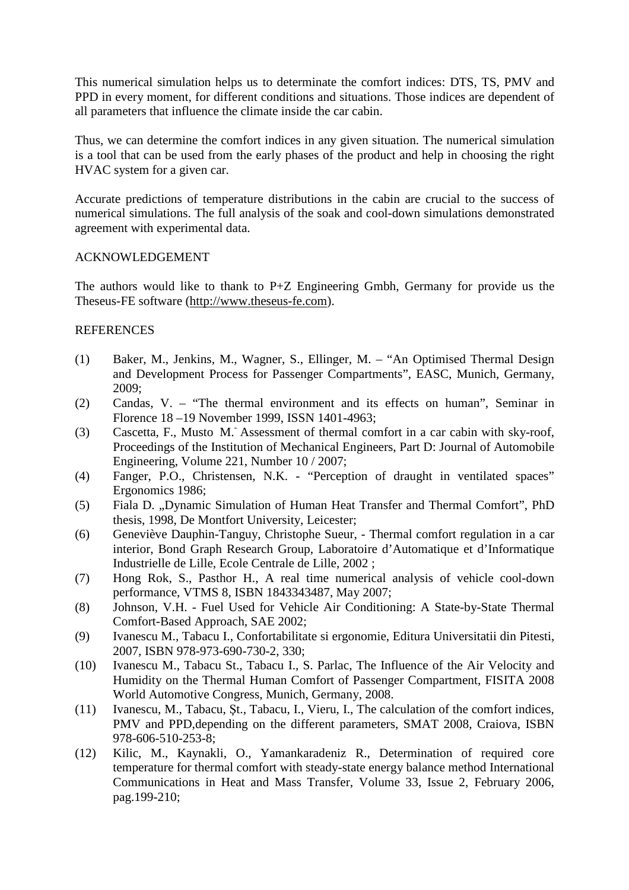This numerical simulation helps us to determinate the comfort indices: DTS, TS, PMV and PPD in every moment, for different conditions and situations. Those indices are dependent of all parameters that influence the climate inside the car cabin.

Thus, we can determine the comfort indices in any given situation. The numerical simulation is a tool that can be used from the early phases of the product and help in choosing the right HVAC system for a given car.

Accurate predictions of temperature distributions in the cabin are crucial to the success of numerical simulations. The full analysis of the soak and cool-down simulations demonstrated agreement with experimental data.

#### ACKNOWLEDGEMENT

The authors would like to thank to P+Z Engineering Gmbh, Germany for provide us the Theseus-FE software (http://www.theseus-fe.com).

#### **REFERENCES**

- (1) Baker, M., Jenkins, M., Wagner, S., Ellinger, M. "An Optimised Thermal Design and Development Process for Passenger Compartments", EASC, Munich, Germany, 2009;
- (2) Candas, V. "The thermal environment and its effects on human", Seminar in Florence 18 –19 November 1999, ISSN 1401-4963;
- (3) Cascetta, F., Musto M.- Assessment of thermal comfort in a car cabin with sky-roof, Proceedings of the Institution of Mechanical Engineers, Part D: Journal of Automobile Engineering, Volume 221, Number 10 / 2007;
- (4) Fanger, P.O., Christensen, N.K. "Perception of draught in ventilated spaces" Ergonomics 1986;
- (5) Fiala D. "Dynamic Simulation of Human Heat Transfer and Thermal Comfort", PhD thesis, 1998, De Montfort University, Leicester;
- (6) Geneviève Dauphin-Tanguy, Christophe Sueur, Thermal comfort regulation in a car interior, Bond Graph Research Group, Laboratoire d'Automatique et d'Informatique Industrielle de Lille, Ecole Centrale de Lille, 2002 ;
- (7) Hong Rok, S., Pasthor H., A real time numerical analysis of vehicle cool-down performance, VTMS 8, ISBN 1843343487, May 2007;
- (8) Johnson, V.H. Fuel Used for Vehicle Air Conditioning: A State-by-State Thermal Comfort-Based Approach, SAE 2002;
- (9) Ivanescu M., Tabacu I., Confortabilitate si ergonomie, Editura Universitatii din Pitesti, 2007, ISBN 978-973-690-730-2, 330;
- (10) Ivanescu M., Tabacu St., Tabacu I., S. Parlac, The Influence of the Air Velocity and Humidity on the Thermal Human Comfort of Passenger Compartment, FISITA 2008 World Automotive Congress, Munich, Germany, 2008.
- (11) Ivanescu, M., Tabacu, Şt., Tabacu, I., Vieru, I., The calculation of the comfort indices, PMV and PPD,depending on the different parameters, SMAT 2008, Craiova, ISBN 978-606-510-253-8;
- (12) Kilic, M., Kaynakli, O., Yamankaradeniz R., Determination of required core temperature for thermal comfort with steady-state energy balance method International Communications in Heat and Mass Transfer, Volume 33, Issue 2, February 2006, pag.199-210;